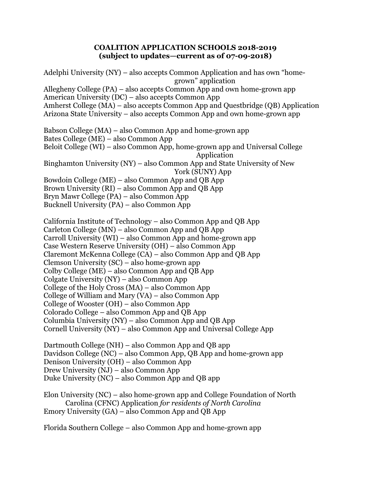## **COALITION APPLICATION SCHOOLS 2018-2019 (subject to updates—current as of 07-09-2018)**

Adelphi University (NY) – also accepts Common Application and has own "homegrown" application Allegheny College (PA) – also accepts Common App and own home-grown app American University (DC) – also accepts Common App Amherst College (MA) – also accepts Common App and Questbridge (QB) Application Arizona State University – also accepts Common App and own home-grown app Babson College (MA) – also Common App and home-grown app Bates College (ME) – also Common App Beloit College (WI) – also Common App, home-grown app and Universal College Application Binghamton University (NY) – also Common App and State University of New York (SUNY) App Bowdoin College (ME) – also Common App and QB App Brown University (RI) – also Common App and QB App Bryn Mawr College (PA) – also Common App Bucknell University (PA) – also Common App California Institute of Technology – also Common App and QB App Carleton College (MN) – also Common App and QB App Carroll University (WI) – also Common App and home-grown app Case Western Reserve University (OH) – also Common App Claremont McKenna College (CA) – also Common App and QB App Clemson University (SC) – also home-grown app Colby College (ME) – also Common App and QB App Colgate University (NY) – also Common App College of the Holy Cross (MA) – also Common App College of William and Mary (VA) – also Common App

College of Wooster (OH) – also Common App

Colorado College – also Common App and QB App

Columbia University (NY) – also Common App and QB App

Cornell University (NY) – also Common App and Universal College App

Dartmouth College (NH) – also Common App and QB app Davidson College (NC) – also Common App, QB App and home-grown app Denison University (OH) – also Common App Drew University (NJ) – also Common App Duke University (NC) – also Common App and QB app

Elon University (NC) – also home-grown app and College Foundation of North Carolina (CFNC) Application *for residents of North Carolina* Emory University (GA) – also Common App and QB App

Florida Southern College – also Common App and home-grown app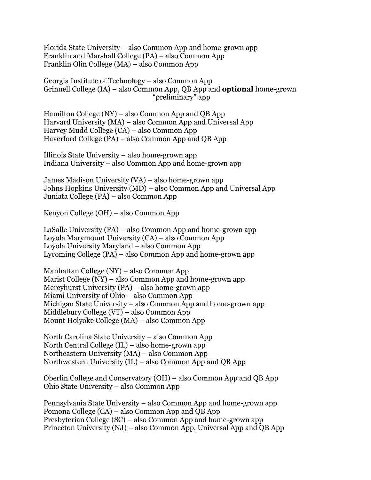Florida State University – also Common App and home-grown app Franklin and Marshall College (PA) – also Common App Franklin Olin College (MA) – also Common App

Georgia Institute of Technology – also Common App Grinnell College (IA) – also Common App, QB App and **optional** home-grown "preliminary" app

Hamilton College (NY) – also Common App and QB App Harvard University (MA) – also Common App and Universal App Harvey Mudd College (CA) – also Common App Haverford College (PA) – also Common App and QB App

Illinois State University – also home-grown app Indiana University – also Common App and home-grown app

James Madison University (VA) – also home-grown app Johns Hopkins University (MD) – also Common App and Universal App Juniata College (PA) – also Common App

Kenyon College (OH) – also Common App

LaSalle University (PA) – also Common App and home-grown app Loyola Marymount University (CA) – also Common App Loyola University Maryland – also Common App Lycoming College (PA) – also Common App and home-grown app

Manhattan College (NY) – also Common App Marist College (NY) – also Common App and home-grown app Mercyhurst University (PA) – also home-grown app Miami University of Ohio – also Common App Michigan State University – also Common App and home-grown app Middlebury College (VT) – also Common App Mount Holyoke College (MA) – also Common App

North Carolina State University – also Common App North Central College (IL) – also home-grown app Northeastern University (MA) – also Common App Northwestern University (IL) – also Common App and QB App

Oberlin College and Conservatory (OH) – also Common App and QB App Ohio State University – also Common App

Pennsylvania State University – also Common App and home-grown app Pomona College (CA) – also Common App and QB App Presbyterian College (SC) – also Common App and home-grown app Princeton University (NJ) – also Common App, Universal App and QB App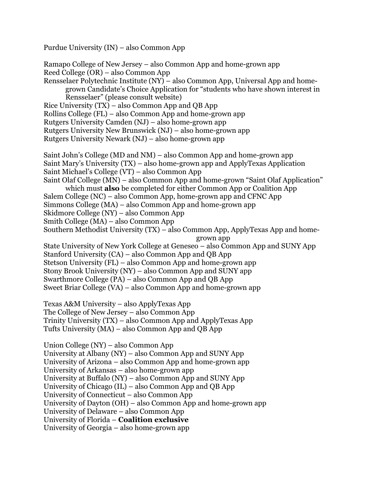Purdue University (IN) – also Common App

Ramapo College of New Jersey – also Common App and home-grown app Reed College (OR) – also Common App Rensselaer Polytechnic Institute (NY) – also Common App, Universal App and homegrown Candidate's Choice Application for "students who have shown interest in Rensselaer" (please consult website) Rice University (TX) – also Common App and QB App Rollins College (FL) – also Common App and home-grown app Rutgers University Camden (NJ) – also home-grown app Rutgers University New Brunswick (NJ) – also home-grown app Rutgers University Newark (NJ) – also home-grown app Saint John's College (MD and NM) – also Common App and home-grown app Saint Mary's University (TX) – also home-grown app and ApplyTexas Application Saint Michael's College (VT) – also Common App Saint Olaf College (MN) – also Common App and home-grown "Saint Olaf Application" which must **also** be completed for either Common App or Coalition App Salem College (NC) – also Common App, home-grown app and CFNC App Simmons College (MA) – also Common App and home-grown app Skidmore College (NY) – also Common App Smith College (MA) – also Common App Southern Methodist University (TX) – also Common App, ApplyTexas App and homegrown app State University of New York College at Geneseo – also Common App and SUNY App Stanford University (CA) – also Common App and QB App Stetson University (FL) – also Common App and home-grown app Stony Brook University (NY) – also Common App and SUNY app Swarthmore College (PA) – also Common App and QB App Sweet Briar College (VA) – also Common App and home-grown app Texas A&M University – also ApplyTexas App The College of New Jersey – also Common App Trinity University (TX) – also Common App and ApplyTexas App Tufts University (MA) – also Common App and QB App Union College (NY) – also Common App University at Albany (NY) – also Common App and SUNY App University of Arizona – also Common App and home-grown app University of Arkansas – also home-grown app University at Buffalo (NY) – also Common App and SUNY App University of Chicago (IL) – also Common App and QB App University of Connecticut – also Common App University of Dayton (OH) – also Common App and home-grown app University of Delaware – also Common App University of Florida – **Coalition exclusive** University of Georgia – also home-grown app